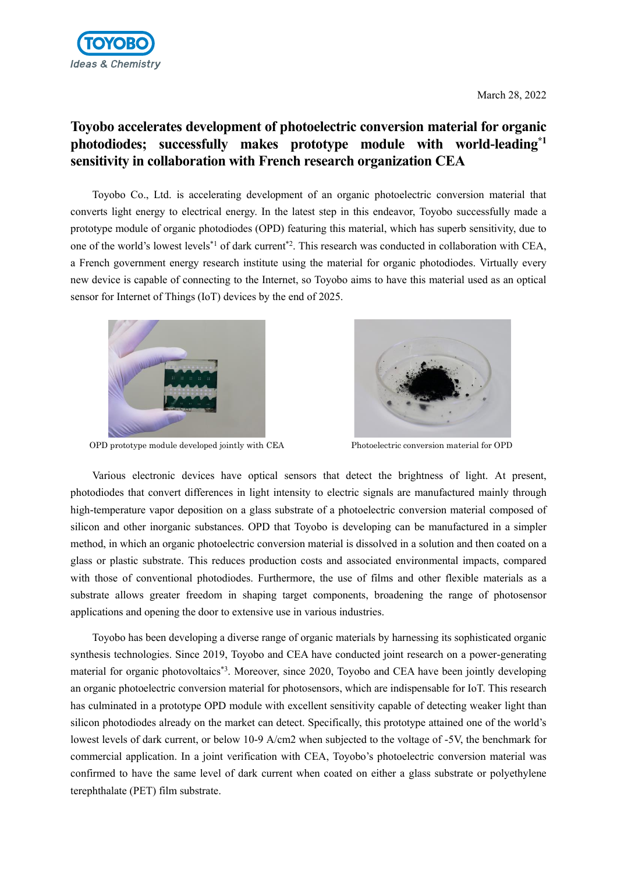

## **Toyobo accelerates development of photoelectric conversion material for organic photodiodes; successfully makes prototype module with world-leading\*1 sensitivity in collaboration with French research organization CEA**

Toyobo Co., Ltd. is accelerating development of an organic photoelectric conversion material that converts light energy to electrical energy. In the latest step in this endeavor, Toyobo successfully made a prototype module of organic photodiodes (OPD) featuring this material, which has superb sensitivity, due to one of the world's lowest levels\*1 of dark current\*2. This research was conducted in collaboration with CEA, a French government energy research institute using the material for organic photodiodes. Virtually every new device is capable of connecting to the Internet, so Toyobo aims to have this material used as an optical sensor for Internet of Things (IoT) devices by the end of 2025.



OPD prototype module developed jointly with CEA Photoelectric conversion material for OPD



Various electronic devices have optical sensors that detect the brightness of light. At present, photodiodes that convert differences in light intensity to electric signals are manufactured mainly through high-temperature vapor deposition on a glass substrate of a photoelectric conversion material composed of silicon and other inorganic substances. OPD that Toyobo is developing can be manufactured in a simpler method, in which an organic photoelectric conversion material is dissolved in a solution and then coated on a glass or plastic substrate. This reduces production costs and associated environmental impacts, compared with those of conventional photodiodes. Furthermore, the use of films and other flexible materials as a substrate allows greater freedom in shaping target components, broadening the range of photosensor applications and opening the door to extensive use in various industries.

Toyobo has been developing a diverse range of organic materials by harnessing its sophisticated organic synthesis technologies. Since 2019, Toyobo and CEA have conducted joint research on a power-generating material for organic photovoltaics<sup>\*3</sup>. Moreover, since 2020, Toyobo and CEA have been jointly developing an organic photoelectric conversion material for photosensors, which are indispensable for IoT. This research has culminated in a prototype OPD module with excellent sensitivity capable of detecting weaker light than silicon photodiodes already on the market can detect. Specifically, this prototype attained one of the world's lowest levels of dark current, or below 10-9 A/cm2 when subjected to the voltage of -5V, the benchmark for commercial application. In a joint verification with CEA, Toyobo's photoelectric conversion material was confirmed to have the same level of dark current when coated on either a glass substrate or polyethylene terephthalate (PET) film substrate.